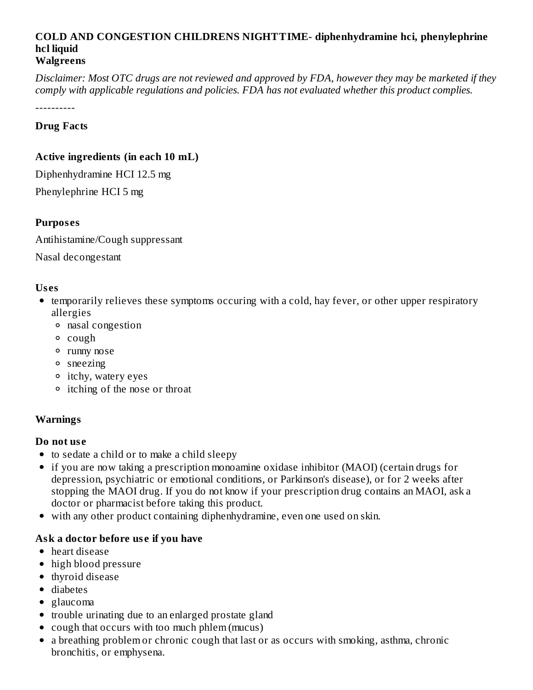#### **COLD AND CONGESTION CHILDRENS NIGHTTIME- diphenhydramine hci, phenylephrine hcl liquid Walgreens**

Disclaimer: Most OTC drugs are not reviewed and approved by FDA, however they may be marketed if they *comply with applicable regulations and policies. FDA has not evaluated whether this product complies.*

----------

### **Drug Facts**

### **Active ingredients (in each 10 mL)**

Diphenhydramine HCI 12.5 mg Phenylephrine HCI 5 mg

## **Purpos es**

Antihistamine/Cough suppressant

Nasal decongestant

### **Us es**

- temporarily relieves these symptoms occuring with a cold, hay fever, or other upper respiratory allergies
	- nasal congestion
	- cough
	- runny nose
	- sneezing
	- itchy, watery eyes
	- itching of the nose or throat

## **Warnings**

### **Do not us e**

- to sedate a child or to make a child sleepy
- if you are now taking a prescription monoamine oxidase inhibitor (MAOI) (certain drugs for depression, psychiatric or emotional conditions, or Parkinson's disease), or for 2 weeks after stopping the MAOI drug. If you do not know if your prescription drug contains an MAOI, ask a doctor or pharmacist before taking this product.
- with any other product containing diphenhydramine, even one used on skin.

## **Ask a doctor before us e if you have**

- heart disease
- high blood pressure
- thyroid disease
- diabetes
- glaucoma
- trouble urinating due to an enlarged prostate gland
- cough that occurs with too much phlem (mucus)
- a breathing problem or chronic cough that last or as occurs with smoking, asthma, chronic bronchitis, or emphysena.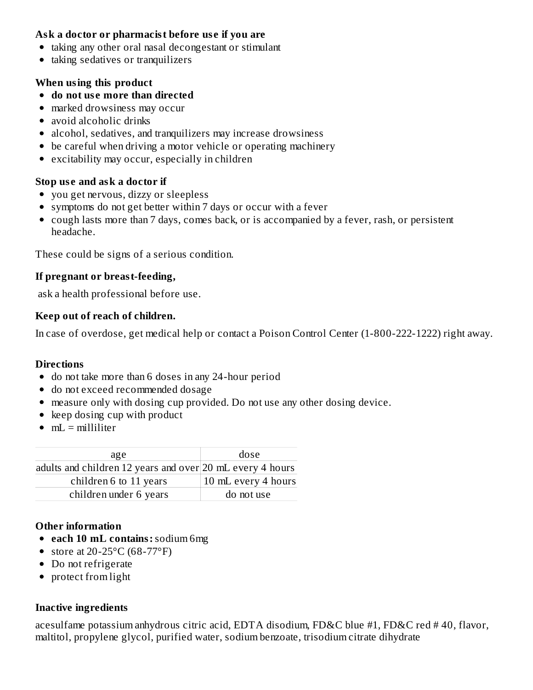### **Ask a doctor or pharmacist before us e if you are**

- taking any other oral nasal decongestant or stimulant
- taking sedatives or tranquilizers

# **When using this product**

- **do not us e more than directed**
- marked drowsiness may occur
- avoid alcoholic drinks
- alcohol, sedatives, and tranquilizers may increase drowsiness
- be careful when driving a motor vehicle or operating machinery
- excitability may occur, especially in children

# **Stop us e and ask a doctor if**

- you get nervous, dizzy or sleepless
- symptoms do not get better within 7 days or occur with a fever
- cough lasts more than 7 days, comes back, or is accompanied by a fever, rash, or persistent headache.

These could be signs of a serious condition.

# **If pregnant or breast-feeding,**

ask a health professional before use.

# **Keep out of reach of children.**

In case of overdose, get medical help or contact a Poison Control Center (1-800-222-1222) right away.

# **Directions**

- do not take more than 6 doses in any 24-hour period
- do not exceed recommended dosage
- measure only with dosing cup provided. Do not use any other dosing device.
- keep dosing cup with product
- $\bullet$  mL = milliliter

| age                                                       | dose                |  |  |
|-----------------------------------------------------------|---------------------|--|--|
| adults and children 12 years and over 20 mL every 4 hours |                     |  |  |
| children 6 to 11 years                                    | 10 mL every 4 hours |  |  |
| children under 6 years                                    | do not use          |  |  |
|                                                           |                     |  |  |

# **Other information**

- **each 10 mL contains:**sodium 6mg
- store at  $20-25$ °C (68-77°F)
- Do not refrigerate
- protect from light

# **Inactive ingredients**

acesulfame potassium anhydrous citric acid, EDTA disodium, FD&C blue #1, FD&C red # 40, flavor, maltitol, propylene glycol, purified water, sodium benzoate, trisodium citrate dihydrate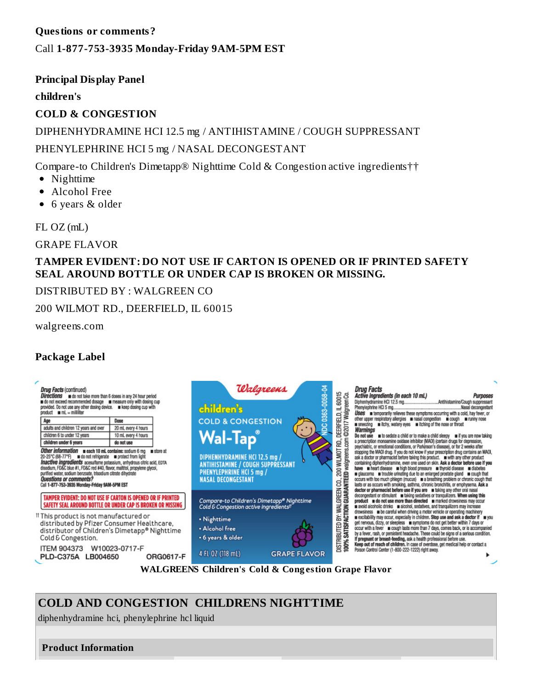### **Questions or comments?**

### Call **1-877-753-3935 Monday-Friday 9AM-5PM EST**

### **Principal Display Panel**

#### **children's**

### **COLD & CONGESTION**

DIPHENHYDRAMINE HCI 12.5 mg / ANTIHISTAMINE / COUGH SUPPRESSANT PHENYLEPHRINE HCI 5 mg / NASAL DECONGESTANT

Compare-to Children's Dimetapp® Nighttime Cold & Congestion active ingredients††

- Nighttime
- Alcohol Free  $\bullet$
- 6 years & older

FL OZ (mL)

GRAPE FLAVOR

### **TAMPER EVIDENT: DO NOT USE IF CARTON IS OPENED OR IF PRINTED SAFETY SEAL AROUND BOTTLE OR UNDER CAP IS BROKEN OR MISSING.**

### DISTRIBUTED BY : WALGREEN CO

200 WILMOT RD., DEERFIELD, IL 60015

walgreens.com

## **Package Label**



# **COLD AND CONGESTION CHILDRENS NIGHTTIME**

diphenhydramine hci, phenylephrine hcl liquid

**Product Information**